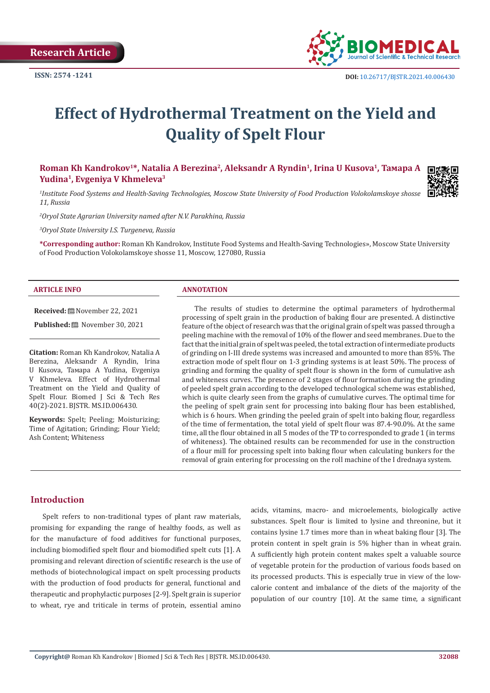

# **Effect of Hydrothermal Treatment on the Yield and Quality of Spelt Flour**

**Roman Kh Kandrokov1\*, Natalia A Berezina2, Aleksandr A Ryndin1, Irina U Kusova1, Тамара А Yudina1, Evgeniya V Khmeleva3**

*1 Institute Food Systems and Health-Saving Technologies, Moscow State University of Food Production Volokolamskoye shosse 11, Russia*

*2 Oryol State Agrarian University named after N.V. Parakhina, Russia*

*3 Oryol State University I.S. Turgeneva, Russia*

**\*Corresponding author:** Roman Kh Kandrokov, Institute Food Systems and Health-Saving Technologies», Moscow State University of Food Production Volokolamskoye shosse 11, Moscow, 127080, Russia

#### **ARTICLE INFO ANNOTATION**

**Received:** November 22, 2021

**Published:** November 30, 2021

**Citation:** Roman Kh Kandrokov, Natalia A Berezina, Aleksandr A Ryndin, Irina U Kusova, Тамара А Yudina, Evgeniya V Khmeleva. Effect of Hydrothermal Treatment on the Yield and Quality of Spelt Flour. Biomed J Sci & Tech Res 40(2)-2021. BJSTR. MS.ID.006430.

**Keywords:** Spelt; Peeling; Moisturizing; Time of Agitation; Grinding; Flour Yield; Ash Content; Whiteness

The results of studies to determine the optimal parameters of hydrothermal processing of spelt grain in the production of baking flour are presented. A distinctive feature of the object of research was that the original grain of spelt was passed through a peeling machine with the removal of 10% of the flower and seed membranes. Due to the fact that the initial grain of spelt was peeled, the total extraction of intermediate products of grinding on I-III drede systems was increased and amounted to more than 85%. The extraction mode of spelt flour on 1-3 grinding systems is at least 50%. The process of grinding and forming the quality of spelt flour is shown in the form of cumulative ash and whiteness curves. The presence of 2 stages of flour formation during the grinding of peeled spelt grain according to the developed technological scheme was established, which is quite clearly seen from the graphs of cumulative curves. The optimal time for the peeling of spelt grain sent for processing into baking flour has been established, which is 6 hours. When grinding the peeled grain of spelt into baking flour, regardless of the time of fermentation, the total yield of spelt flour was 87.4-90.0%. At the same time, all the flour obtained in all 5 modes of the TP to corresponded to grade 1 (in terms of whiteness). The obtained results can be recommended for use in the construction of a flour mill for processing spelt into baking flour when calculating bunkers for the removal of grain entering for processing on the roll machine of the I drednaya system.

## **Introduction**

Spelt refers to non-traditional types of plant raw materials, promising for expanding the range of healthy foods, as well as for the manufacture of food additives for functional purposes, including biomodified spelt flour and biomodified spelt cuts [1]. A promising and relevant direction of scientific research is the use of methods of biotechnological impact on spelt processing products with the production of food products for general, functional and therapeutic and prophylactic purposes [2-9]. Spelt grain is superior to wheat, rye and triticale in terms of protein, essential amino

acids, vitamins, macro- and microelements, biologically active substances. Spelt flour is limited to lysine and threonine, but it contains lysine 1.7 times more than in wheat baking flour [3]. The protein content in spelt grain is 5% higher than in wheat grain. A sufficiently high protein content makes spelt a valuable source of vegetable protein for the production of various foods based on its processed products. This is especially true in view of the lowcalorie content and imbalance of the diets of the majority of the population of our country [10]. At the same time, a significant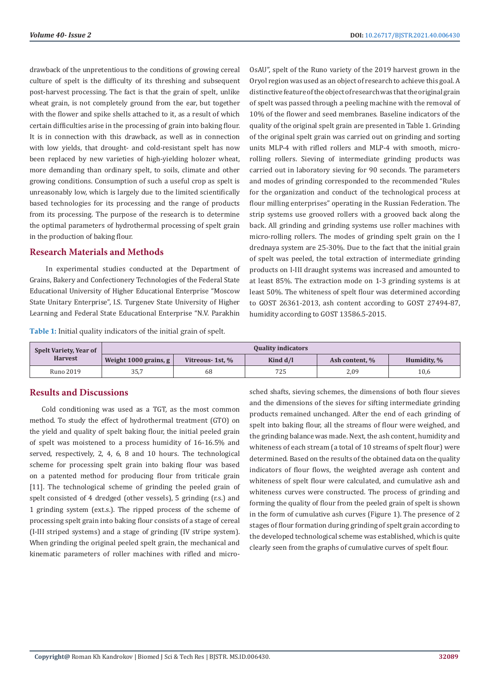drawback of the unpretentious to the conditions of growing cereal culture of spelt is the difficulty of its threshing and subsequent post-harvest processing. The fact is that the grain of spelt, unlike wheat grain, is not completely ground from the ear, but together with the flower and spike shells attached to it, as a result of which certain difficulties arise in the processing of grain into baking flour. It is in connection with this drawback, as well as in connection with low yields, that drought- and cold-resistant spelt has now been replaced by new varieties of high-yielding holozer wheat, more demanding than ordinary spelt, to soils, climate and other growing conditions. Consumption of such a useful crop as spelt is unreasonably low, which is largely due to the limited scientifically based technologies for its processing and the range of products from its processing. The purpose of the research is to determine the optimal parameters of hydrothermal processing of spelt grain in the production of baking flour.

# **Research Materials and Methods**

 In experimental studies conducted at the Department of Grains, Bakery and Confectionery Technologies of the Federal State Educational University of Higher Educational Enterprise "Moscow State Unitary Enterprise", I.S. Turgenev State University of Higher Learning and Federal State Educational Enterprise "N.V. Parakhin

**Table 1:** Initial quality indicators of the initial grain of spelt.

OsAU", spelt of the Runo variety of the 2019 harvest grown in the Oryol region was used as an object of research to achieve this goal. A distinctive feature of the object of research was that the original grain of spelt was passed through a peeling machine with the removal of 10% of the flower and seed membranes. Baseline indicators of the quality of the original spelt grain are presented in Table 1. Grinding of the original spelt grain was carried out on grinding and sorting units MLP-4 with rifled rollers and MLP-4 with smooth, microrolling rollers. Sieving of intermediate grinding products was carried out in laboratory sieving for 90 seconds. The parameters and modes of grinding corresponded to the recommended "Rules for the organization and conduct of the technological process at flour milling enterprises" operating in the Russian Federation. The strip systems use grooved rollers with a grooved back along the back. All grinding and grinding systems use roller machines with micro-rolling rollers. The modes of grinding spelt grain on the I drednaya system are 25-30%. Due to the fact that the initial grain of spelt was peeled, the total extraction of intermediate grinding products on I-III draught systems was increased and amounted to at least 85%. The extraction mode on 1-3 grinding systems is at least 50%. The whiteness of spelt flour was determined according to GOST 26361-2013, ash content according to GOST 27494-87, humidity according to GOST 13586.5-2015.

| Spelt Variety, Year of<br><b>Harvest</b> | <b>Quality indicators</b> |                  |            |                |             |
|------------------------------------------|---------------------------|------------------|------------|----------------|-------------|
|                                          | Weight 1000 grains, $g$   | Vitreous- 1st, % | Kind $d/l$ | Ash content, % | Humidity, % |
| Runo 2019                                | 35,7                      | 68               | 725        | 2,09           | 10,6        |

# **Results and Discussions**

Cold conditioning was used as a TGT, as the most common method. To study the effect of hydrothermal treatment (GTO) on the yield and quality of spelt baking flour, the initial peeled grain of spelt was moistened to a process humidity of 16-16.5% and served, respectively, 2, 4, 6, 8 and 10 hours. The technological scheme for processing spelt grain into baking flour was based on a patented method for producing flour from triticale grain [11]. The technological scheme of grinding the peeled grain of spelt consisted of 4 dredged (other vessels), 5 grinding (r.s.) and 1 grinding system (ext.s.). The ripped process of the scheme of processing spelt grain into baking flour consists of a stage of cereal (I-III striped systems) and a stage of grinding (IV stripe system). When grinding the original peeled spelt grain, the mechanical and kinematic parameters of roller machines with rifled and microsched shafts, sieving schemes, the dimensions of both flour sieves and the dimensions of the sieves for sifting intermediate grinding products remained unchanged. After the end of each grinding of spelt into baking flour, all the streams of flour were weighed, and the grinding balance was made. Next, the ash content, humidity and whiteness of each stream (a total of 10 streams of spelt flour) were determined. Based on the results of the obtained data on the quality indicators of flour flows, the weighted average ash content and whiteness of spelt flour were calculated, and cumulative ash and whiteness curves were constructed. The process of grinding and forming the quality of flour from the peeled grain of spelt is shown in the form of cumulative ash curves (Figure 1). The presence of 2 stages of flour formation during grinding of spelt grain according to the developed technological scheme was established, which is quite clearly seen from the graphs of cumulative curves of spelt flour.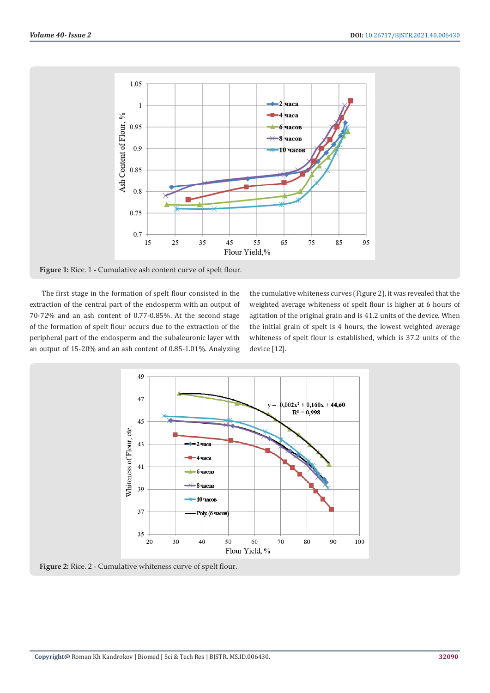

**Figure 1:** Rice. 1 - Cumulative ash content curve of spelt flour.

The first stage in the formation of spelt flour consisted in the extraction of the central part of the endosperm with an output of 70-72% and an ash content of 0.77-0.85%. At the second stage of the formation of spelt flour occurs due to the extraction of the peripheral part of the endosperm and the subaleuronic layer with an output of 15-20% and an ash content of 0.85-1.01%. Analyzing

the cumulative whiteness curves (Figure 2), it was revealed that the weighted average whiteness of spelt flour is higher at 6 hours of agitation of the original grain and is 41.2 units of the device. When the initial grain of spelt is 4 hours, the lowest weighted average whiteness of spelt flour is established, which is 37.2 units of the device [12].



**Figure 2:** Rice. 2 - Cumulative whiteness curve of spelt flour.